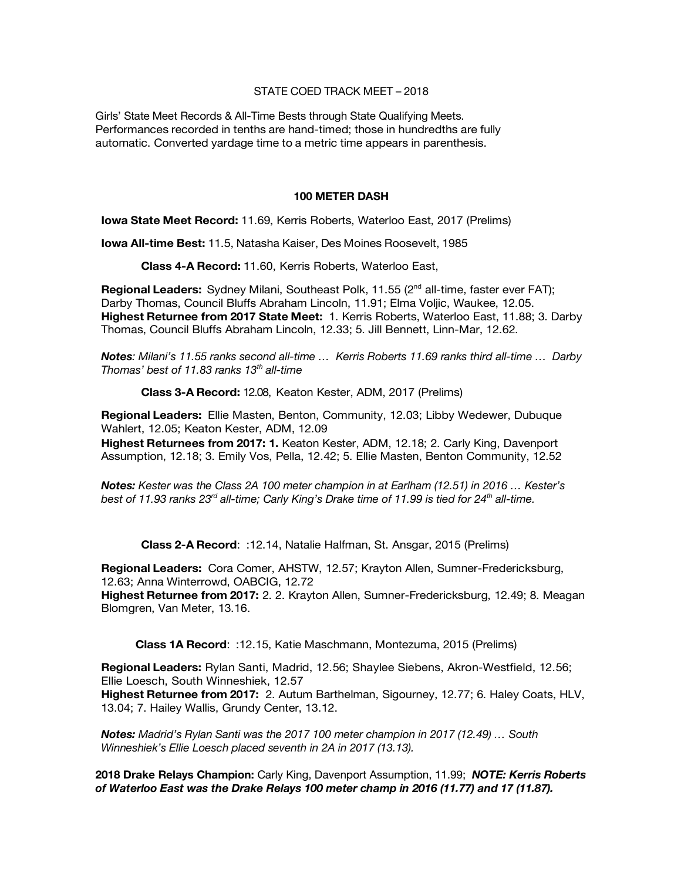## STATE COED TRACK MEET – 2018

Girls' State Meet Records & All-Time Bests through State Qualifying Meets. Performances recorded in tenths are hand-timed; those in hundredths are fully automatic. Converted yardage time to a metric time appears in parenthesis.

#### **100 METER DASH**

**Iowa State Meet Record:** 11.69, Kerris Roberts, Waterloo East, 2017 (Prelims)

**Iowa All-time Best:** 11.5, Natasha Kaiser, Des Moines Roosevelt, 1985

**Class 4-A Record:** 11.60, Kerris Roberts, Waterloo East,

**Regional Leaders:** Sydney Milani, Southeast Polk, 11.55 (2<sup>nd</sup> all-time, faster ever FAT); Darby Thomas, Council Bluffs Abraham Lincoln, 11.91; Elma Voljic, Waukee, 12.05. **Highest Returnee from 2017 State Meet:** 1. Kerris Roberts, Waterloo East, 11.88; 3. Darby Thomas, Council Bluffs Abraham Lincoln, 12.33; 5. Jill Bennett, Linn-Mar, 12.62.

*Notes: Milani's 11.55 ranks second all-time … Kerris Roberts 11.69 ranks third all-time … Darby Thomas' best of 11.83 ranks 13th all-time* 

**Class 3-A Record:** 12.08, Keaton Kester, ADM, 2017 (Prelims)

**Regional Leaders:** Ellie Masten, Benton, Community, 12.03; Libby Wedewer, Dubuque Wahlert, 12.05; Keaton Kester, ADM, 12.09

**Highest Returnees from 2017: 1.** Keaton Kester, ADM, 12.18; 2. Carly King, Davenport Assumption, 12.18; 3. Emily Vos, Pella, 12.42; 5. Ellie Masten, Benton Community, 12.52

*Notes: Kester was the Class 2A 100 meter champion in at Earlham (12.51) in 2016 … Kester's best of 11.93 ranks 23rd all-time; Carly King's Drake time of 11.99 is tied for 24th all-time.*

**Class 2-A Record**: :12.14, Natalie Halfman, St. Ansgar, 2015 (Prelims)

**Regional Leaders:** Cora Comer, AHSTW, 12.57; Krayton Allen, Sumner-Fredericksburg, 12.63; Anna Winterrowd, OABCIG, 12.72

**Highest Returnee from 2017:** 2. 2. Krayton Allen, Sumner-Fredericksburg, 12.49; 8. Meagan Blomgren, Van Meter, 13.16.

**Class 1A Record**: :12.15, Katie Maschmann, Montezuma, 2015 (Prelims)

**Regional Leaders:** Rylan Santi, Madrid, 12.56; Shaylee Siebens, Akron-Westfield, 12.56; Ellie Loesch, South Winneshiek, 12.57

**Highest Returnee from 2017:** 2. Autum Barthelman, Sigourney, 12.77; 6. Haley Coats, HLV, 13.04; 7. Hailey Wallis, Grundy Center, 13.12.

*Notes: Madrid's Rylan Santi was the 2017 100 meter champion in 2017 (12.49) … South Winneshiek's Ellie Loesch placed seventh in 2A in 2017 (13.13).*

**2018 Drake Relays Champion:** Carly King, Davenport Assumption, 11.99; *NOTE: Kerris Roberts of Waterloo East was the Drake Relays 100 meter champ in 2016 (11.77) and 17 (11.87).*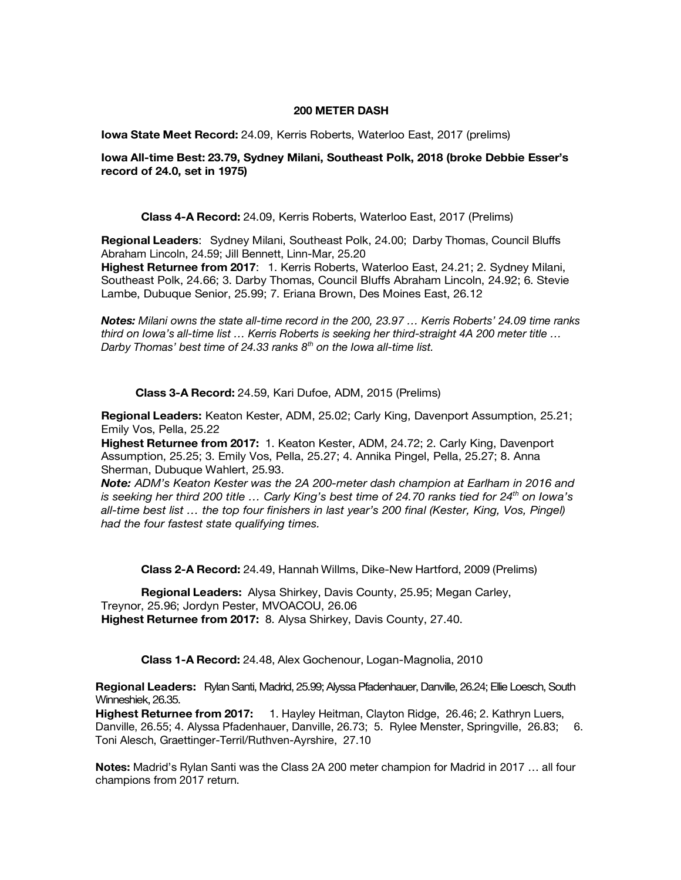#### **200 METER DASH**

**Iowa State Meet Record:** 24.09, Kerris Roberts, Waterloo East, 2017 (prelims)

**Iowa All-time Best: 23.79, Sydney Milani, Southeast Polk, 2018 (broke Debbie Esser's record of 24.0, set in 1975)**

**Class 4-A Record:** 24.09, Kerris Roberts, Waterloo East, 2017 (Prelims)

**Regional Leaders**: Sydney Milani, Southeast Polk, 24.00; Darby Thomas, Council Bluffs Abraham Lincoln, 24.59; Jill Bennett, Linn-Mar, 25.20

**Highest Returnee from 2017**: 1. Kerris Roberts, Waterloo East, 24.21; 2. Sydney Milani, Southeast Polk, 24.66; 3. Darby Thomas, Council Bluffs Abraham Lincoln, 24.92; 6. Stevie Lambe, Dubuque Senior, 25.99; 7. Eriana Brown, Des Moines East, 26.12

*Notes: Milani owns the state all-time record in the 200, 23.97 … Kerris Roberts' 24.09 time ranks third on Iowa's all-time list … Kerris Roberts is seeking her third-straight 4A 200 meter title … Darby Thomas' best time of 24.33 ranks 8th on the Iowa all-time list.* 

**Class 3-A Record:** 24.59, Kari Dufoe, ADM, 2015 (Prelims)

**Regional Leaders:** Keaton Kester, ADM, 25.02; Carly King, Davenport Assumption, 25.21; Emily Vos, Pella, 25.22

**Highest Returnee from 2017:** 1. Keaton Kester, ADM, 24.72; 2. Carly King, Davenport Assumption, 25.25; 3. Emily Vos, Pella, 25.27; 4. Annika Pingel, Pella, 25.27; 8. Anna Sherman, Dubuque Wahlert, 25.93.

*Note: ADM's Keaton Kester was the 2A 200-meter dash champion at Earlham in 2016 and is seeking her third 200 title … Carly King's best time of 24.70 ranks tied for 24th on Iowa's all-time best list … the top four finishers in last year's 200 final (Kester, King, Vos, Pingel) had the four fastest state qualifying times.* 

**Class 2-A Record:** 24.49, Hannah Willms, Dike-New Hartford, 2009 (Prelims)

**Regional Leaders:** Alysa Shirkey, Davis County, 25.95; Megan Carley, Treynor, 25.96; Jordyn Pester, MVOACOU, 26.06 **Highest Returnee from 2017:** 8. Alysa Shirkey, Davis County, 27.40.

**Class 1-A Record:** 24.48, Alex Gochenour, Logan-Magnolia, 2010

**Regional Leaders:** Rylan Santi, Madrid, 25.99; Alyssa Pfadenhauer, Danville, 26.24; Ellie Loesch, South Winneshiek, 26.35.

**Highest Returnee from 2017:** 1. Hayley Heitman, Clayton Ridge, 26.46; 2. Kathryn Luers, Danville, 26.55; 4. Alyssa Pfadenhauer, Danville, 26.73; 5. Rylee Menster, Springville, 26.83; 6. Toni Alesch, Graettinger-Terril/Ruthven-Ayrshire, 27.10

**Notes:** Madrid's Rylan Santi was the Class 2A 200 meter champion for Madrid in 2017 … all four champions from 2017 return.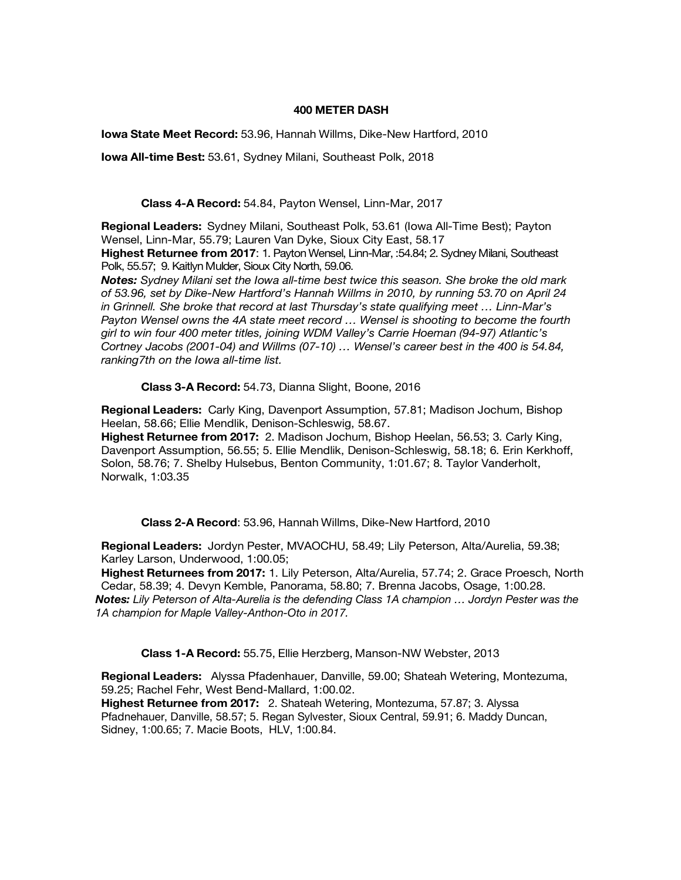#### **400 METER DASH**

**Iowa State Meet Record:** 53.96, Hannah Willms, Dike-New Hartford, 2010

**Iowa All-time Best:** 53.61, Sydney Milani, Southeast Polk, 2018

**Class 4-A Record:** 54.84, Payton Wensel, Linn-Mar, 2017

**Regional Leaders:** Sydney Milani, Southeast Polk, 53.61 (Iowa All-Time Best); Payton Wensel, Linn-Mar, 55.79; Lauren Van Dyke, Sioux City East, 58.17 **Highest Returnee from 2017**: 1. Payton Wensel, Linn-Mar, :54.84; 2. Sydney Milani, Southeast

Polk, 55.57; 9. Kaitlyn Mulder, Sioux City North, 59.06. *Notes: Sydney Milani set the Iowa all-time best twice this season. She broke the old mark of 53.96, set by Dike-New Hartford's Hannah Willms in 2010, by running 53.70 on April 24 in Grinnell. She broke that record at last Thursday's state qualifying meet … Linn-Mar's* 

*Payton Wensel owns the 4A state meet record … Wensel is shooting to become the fourth girl to win four 400 meter titles, joining WDM Valley's Carrie Hoeman (94-97) Atlantic's Cortney Jacobs (2001-04) and Willms (07-10) … Wensel's career best in the 400 is 54.84, ranking7th on the Iowa all-time list.* 

**Class 3-A Record:** 54.73, Dianna Slight, Boone, 2016

**Regional Leaders:** Carly King, Davenport Assumption, 57.81; Madison Jochum, Bishop Heelan, 58.66; Ellie Mendlik, Denison-Schleswig, 58.67.

**Highest Returnee from 2017:** 2. Madison Jochum, Bishop Heelan, 56.53; 3. Carly King, Davenport Assumption, 56.55; 5. Ellie Mendlik, Denison-Schleswig, 58.18; 6. Erin Kerkhoff, Solon, 58.76; 7. Shelby Hulsebus, Benton Community, 1:01.67; 8. Taylor Vanderholt, Norwalk, 1:03.35

**Class 2-A Record**: 53.96, Hannah Willms, Dike-New Hartford, 2010

**Regional Leaders:** Jordyn Pester, MVAOCHU, 58.49; Lily Peterson, Alta/Aurelia, 59.38; Karley Larson, Underwood, 1:00.05;

**Highest Returnees from 2017:** 1. Lily Peterson, Alta/Aurelia, 57.74; 2. Grace Proesch, North Cedar, 58.39; 4. Devyn Kemble, Panorama, 58.80; 7. Brenna Jacobs, Osage, 1:00.28. *Notes: Lily Peterson of Alta-Aurelia is the defending Class 1A champion … Jordyn Pester was the 1A champion for Maple Valley-Anthon-Oto in 2017.* 

**Class 1-A Record:** 55.75, Ellie Herzberg, Manson-NW Webster, 2013

**Regional Leaders:** Alyssa Pfadenhauer, Danville, 59.00; Shateah Wetering, Montezuma, 59.25; Rachel Fehr, West Bend-Mallard, 1:00.02.

**Highest Returnee from 2017:** 2. Shateah Wetering, Montezuma, 57.87; 3. Alyssa Pfadnehauer, Danville, 58.57; 5. Regan Sylvester, Sioux Central, 59.91; 6. Maddy Duncan, Sidney, 1:00.65; 7. Macie Boots, HLV, 1:00.84.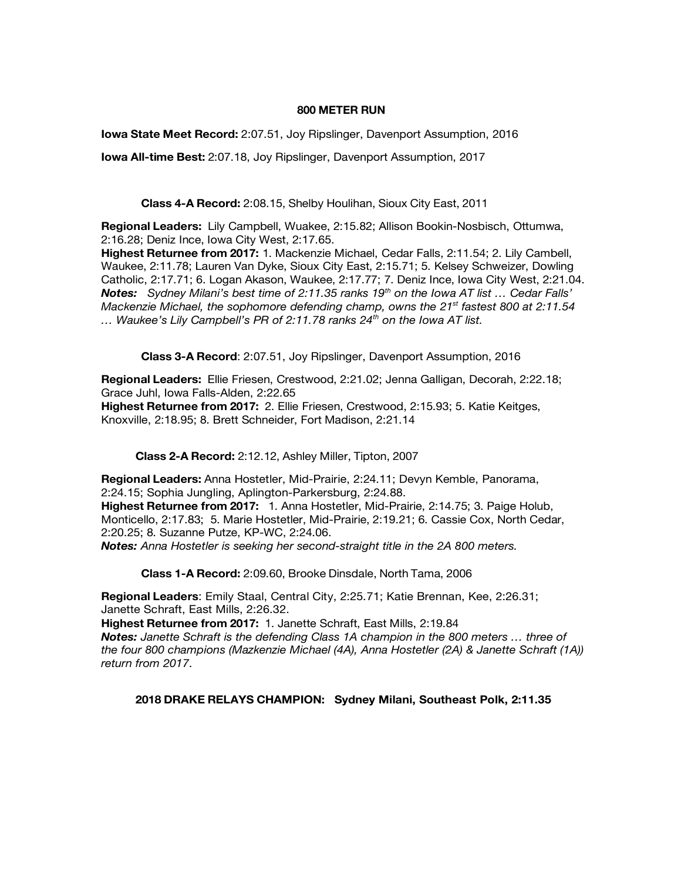#### **800 METER RUN**

**Iowa State Meet Record:** 2:07.51, Joy Ripslinger, Davenport Assumption, 2016

**Iowa All-time Best:** 2:07.18, Joy Ripslinger, Davenport Assumption, 2017

**Class 4-A Record:** 2:08.15, Shelby Houlihan, Sioux City East, 2011

**Regional Leaders:** Lily Campbell, Wuakee, 2:15.82; Allison Bookin-Nosbisch, Ottumwa, 2:16.28; Deniz Ince, Iowa City West, 2:17.65.

**Highest Returnee from 2017:** 1. Mackenzie Michael, Cedar Falls, 2:11.54; 2. Lily Cambell, Waukee, 2:11.78; Lauren Van Dyke, Sioux City East, 2:15.71; 5. Kelsey Schweizer, Dowling Catholic, 2:17.71; 6. Logan Akason, Waukee, 2:17.77; 7. Deniz Ince, Iowa City West, 2:21.04. *Notes: Sydney Milani's best time of 2:11.35 ranks 19th on the Iowa AT list … Cedar Falls' Mackenzie Michael, the sophomore defending champ, owns the 21st fastest 800 at 2:11.54 … Waukee's Lily Campbell's PR of 2:11.78 ranks 24th on the Iowa AT list.*

**Class 3-A Record**: 2:07.51, Joy Ripslinger, Davenport Assumption, 2016

**Regional Leaders:** Ellie Friesen, Crestwood, 2:21.02; Jenna Galligan, Decorah, 2:22.18; Grace Juhl, Iowa Falls-Alden, 2:22.65

**Highest Returnee from 2017:** 2. Ellie Friesen, Crestwood, 2:15.93; 5. Katie Keitges, Knoxville, 2:18.95; 8. Brett Schneider, Fort Madison, 2:21.14

**Class 2-A Record:** 2:12.12, Ashley Miller, Tipton, 2007

**Regional Leaders:** Anna Hostetler, Mid-Prairie, 2:24.11; Devyn Kemble, Panorama, 2:24.15; Sophia Jungling, Aplington-Parkersburg, 2:24.88. **Highest Returnee from 2017:** 1. Anna Hostetler, Mid-Prairie, 2:14.75; 3. Paige Holub,

Monticello, 2:17.83; 5. Marie Hostetler, Mid-Prairie, 2:19.21; 6. Cassie Cox, North Cedar, 2:20.25; 8. Suzanne Putze, KP-WC, 2:24.06.

*Notes: Anna Hostetler is seeking her second-straight title in the 2A 800 meters.* 

**Class 1-A Record:** 2:09.60, Brooke Dinsdale, North Tama, 2006

**Regional Leaders**: Emily Staal, Central City, 2:25.71; Katie Brennan, Kee, 2:26.31; Janette Schraft, East Mills, 2:26.32.

**Highest Returnee from 2017:** 1. Janette Schraft, East Mills, 2:19.84 *Notes: Janette Schraft is the defending Class 1A champion in the 800 meters … three of the four 800 champions (Mazkenzie Michael (4A), Anna Hostetler (2A) & Janette Schraft (1A)) return from 2017*.

# **2018 DRAKE RELAYS CHAMPION: Sydney Milani, Southeast Polk, 2:11.35**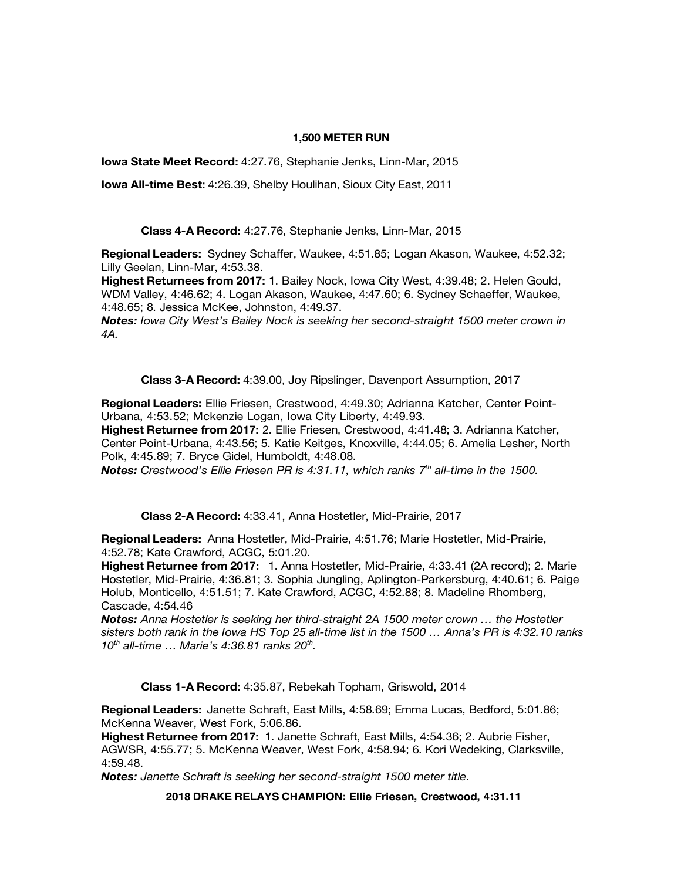## **1,500 METER RUN**

**Iowa State Meet Record:** 4:27.76, Stephanie Jenks, Linn-Mar, 2015

**Iowa All-time Best:** 4:26.39, Shelby Houlihan, Sioux City East, 2011

**Class 4-A Record:** 4:27.76, Stephanie Jenks, Linn-Mar, 2015

**Regional Leaders:** Sydney Schaffer, Waukee, 4:51.85; Logan Akason, Waukee, 4:52.32; Lilly Geelan, Linn-Mar, 4:53.38.

**Highest Returnees from 2017:** 1. Bailey Nock, Iowa City West, 4:39.48; 2. Helen Gould, WDM Valley, 4:46.62; 4. Logan Akason, Waukee, 4:47.60; 6. Sydney Schaeffer, Waukee, 4:48.65; 8. Jessica McKee, Johnston, 4:49.37.

*Notes: Iowa City West's Bailey Nock is seeking her second-straight 1500 meter crown in 4A.*

**Class 3-A Record:** 4:39.00, Joy Ripslinger, Davenport Assumption, 2017

**Regional Leaders:** Ellie Friesen, Crestwood, 4:49.30; Adrianna Katcher, Center Point-Urbana, 4:53.52; Mckenzie Logan, Iowa City Liberty, 4:49.93.

**Highest Returnee from 2017:** 2. Ellie Friesen, Crestwood, 4:41.48; 3. Adrianna Katcher, Center Point-Urbana, 4:43.56; 5. Katie Keitges, Knoxville, 4:44.05; 6. Amelia Lesher, North Polk, 4:45.89; 7. Bryce Gidel, Humboldt, 4:48.08.

*Notes: Crestwood's Ellie Friesen PR is 4:31.11, which ranks 7th all-time in the 1500.* 

**Class 2-A Record:** 4:33.41, Anna Hostetler, Mid-Prairie, 2017

**Regional Leaders:** Anna Hostetler, Mid-Prairie, 4:51.76; Marie Hostetler, Mid-Prairie, 4:52.78; Kate Crawford, ACGC, 5:01.20.

**Highest Returnee from 2017:** 1. Anna Hostetler, Mid-Prairie, 4:33.41 (2A record); 2. Marie Hostetler, Mid-Prairie, 4:36.81; 3. Sophia Jungling, Aplington-Parkersburg, 4:40.61; 6. Paige Holub, Monticello, 4:51.51; 7. Kate Crawford, ACGC, 4:52.88; 8. Madeline Rhomberg, Cascade, 4:54.46

*Notes: Anna Hostetler is seeking her third-straight 2A 1500 meter crown … the Hostetler sisters both rank in the Iowa HS Top 25 all-time list in the 1500 … Anna's PR is 4:32.10 ranks 10th all-time … Marie's 4:36.81 ranks 20th.* 

**Class 1-A Record:** 4:35.87, Rebekah Topham, Griswold, 2014

**Regional Leaders:** Janette Schraft, East Mills, 4:58.69; Emma Lucas, Bedford, 5:01.86; McKenna Weaver, West Fork, 5:06.86.

**Highest Returnee from 2017:** 1. Janette Schraft, East Mills, 4:54.36; 2. Aubrie Fisher, AGWSR, 4:55.77; 5. McKenna Weaver, West Fork, 4:58.94; 6. Kori Wedeking, Clarksville, 4:59.48.

*Notes: Janette Schraft is seeking her second-straight 1500 meter title.* 

**2018 DRAKE RELAYS CHAMPION: Ellie Friesen, Crestwood, 4:31.11**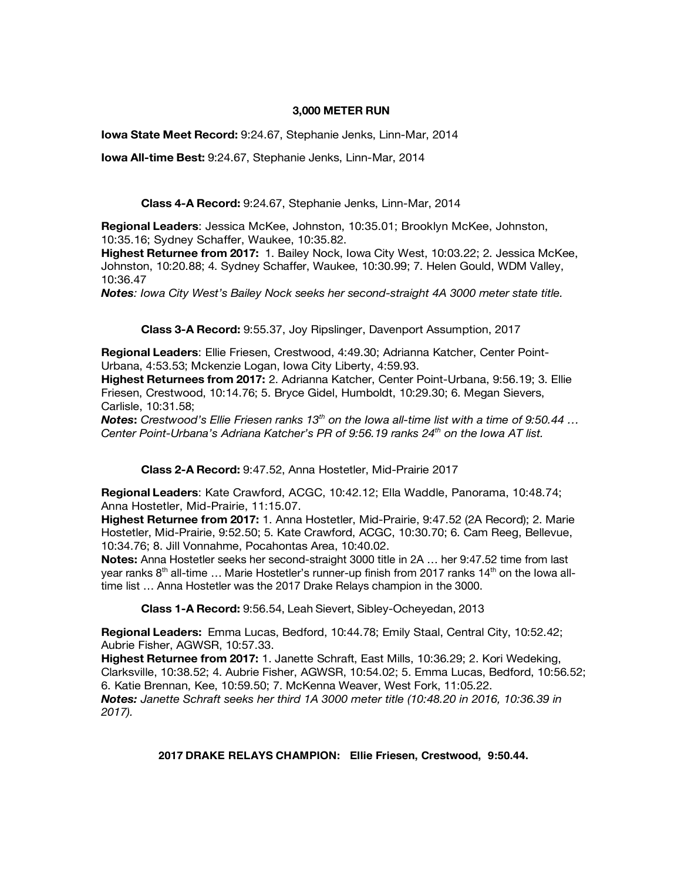#### **3,000 METER RUN**

**Iowa State Meet Record:** 9:24.67, Stephanie Jenks, Linn-Mar, 2014

**Iowa All-time Best:** 9:24.67, Stephanie Jenks, Linn-Mar, 2014

**Class 4-A Record:** 9:24.67, Stephanie Jenks, Linn-Mar, 2014

**Regional Leaders**: Jessica McKee, Johnston, 10:35.01; Brooklyn McKee, Johnston, 10:35.16; Sydney Schaffer, Waukee, 10:35.82.

**Highest Returnee from 2017:** 1. Bailey Nock, Iowa City West, 10:03.22; 2. Jessica McKee, Johnston, 10:20.88; 4. Sydney Schaffer, Waukee, 10:30.99; 7. Helen Gould, WDM Valley, 10:36.47

*Notes: Iowa City West's Bailey Nock seeks her second-straight 4A 3000 meter state title.*

**Class 3-A Record:** 9:55.37, Joy Ripslinger, Davenport Assumption, 2017

**Regional Leaders**: Ellie Friesen, Crestwood, 4:49.30; Adrianna Katcher, Center Point-Urbana, 4:53.53; Mckenzie Logan, Iowa City Liberty, 4:59.93.

**Highest Returnees from 2017:** 2. Adrianna Katcher, Center Point-Urbana, 9:56.19; 3. Ellie Friesen, Crestwood, 10:14.76; 5. Bryce Gidel, Humboldt, 10:29.30; 6. Megan Sievers, Carlisle, 10:31.58;

*Notes***:** *Crestwood's Ellie Friesen ranks 13th on the Iowa all-time list with a time of 9:50.44 … Center Point-Urbana's Adriana Katcher's PR of 9:56.19 ranks 24th on the Iowa AT list.*

**Class 2-A Record:** 9:47.52, Anna Hostetler, Mid-Prairie 2017

**Regional Leaders**: Kate Crawford, ACGC, 10:42.12; Ella Waddle, Panorama, 10:48.74; Anna Hostetler, Mid-Prairie, 11:15.07.

**Highest Returnee from 2017:** 1. Anna Hostetler, Mid-Prairie, 9:47.52 (2A Record); 2. Marie Hostetler, Mid-Prairie, 9:52.50; 5. Kate Crawford, ACGC, 10:30.70; 6. Cam Reeg, Bellevue, 10:34.76; 8. Jill Vonnahme, Pocahontas Area, 10:40.02.

**Notes:** Anna Hostetler seeks her second-straight 3000 title in 2A … her 9:47.52 time from last year ranks  $8<sup>th</sup>$  all-time ... Marie Hostetler's runner-up finish from 2017 ranks 14<sup>th</sup> on the Iowa alltime list … Anna Hostetler was the 2017 Drake Relays champion in the 3000.

**Class 1-A Record:** 9:56.54, Leah Sievert, Sibley-Ocheyedan, 2013

**Regional Leaders:** Emma Lucas, Bedford, 10:44.78; Emily Staal, Central City, 10:52.42; Aubrie Fisher, AGWSR, 10:57.33.

**Highest Returnee from 2017:** 1. Janette Schraft, East Mills, 10:36.29; 2. Kori Wedeking, Clarksville, 10:38.52; 4. Aubrie Fisher, AGWSR, 10:54.02; 5. Emma Lucas, Bedford, 10:56.52; 6. Katie Brennan, Kee, 10:59.50; 7. McKenna Weaver, West Fork, 11:05.22. *Notes: Janette Schraft seeks her third 1A 3000 meter title (10:48.20 in 2016, 10:36.39 in 2017).*

**2017 DRAKE RELAYS CHAMPION: Ellie Friesen, Crestwood, 9:50.44.**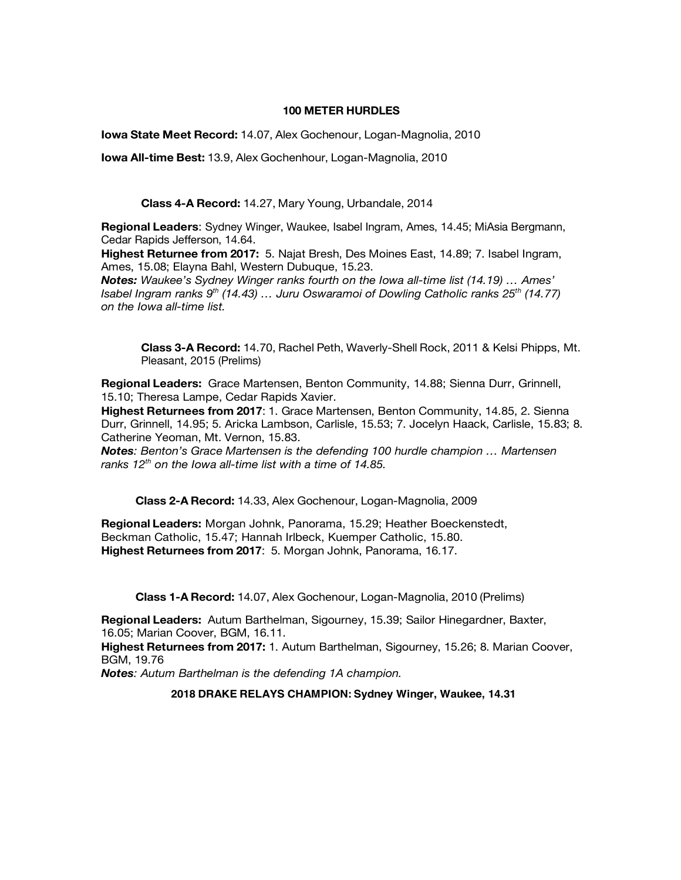#### **100 METER HURDLES**

**Iowa State Meet Record:** 14.07, Alex Gochenour, Logan-Magnolia, 2010

**Iowa All-time Best:** 13.9, Alex Gochenhour, Logan-Magnolia, 2010

**Class 4-A Record:** 14.27, Mary Young, Urbandale, 2014

**Regional Leaders**: Sydney Winger, Waukee, Isabel Ingram, Ames, 14.45; MiAsia Bergmann, Cedar Rapids Jefferson, 14.64.

**Highest Returnee from 2017:** 5. Najat Bresh, Des Moines East, 14.89; 7. Isabel Ingram, Ames, 15.08; Elayna Bahl, Western Dubuque, 15.23.

*Notes: Waukee's Sydney Winger ranks fourth on the Iowa all-time list (14.19) … Ames' Isabel Ingram ranks 9th (14.43) … Juru Oswaramoi of Dowling Catholic ranks 25th (14.77) on the Iowa all-time list.* 

**Class 3-A Record:** 14.70, Rachel Peth, Waverly-Shell Rock, 2011 & Kelsi Phipps, Mt. Pleasant, 2015 (Prelims)

**Regional Leaders:** Grace Martensen, Benton Community, 14.88; Sienna Durr, Grinnell, 15.10; Theresa Lampe, Cedar Rapids Xavier.

**Highest Returnees from 2017**: 1. Grace Martensen, Benton Community, 14.85, 2. Sienna Durr, Grinnell, 14.95; 5. Aricka Lambson, Carlisle, 15.53; 7. Jocelyn Haack, Carlisle, 15.83; 8. Catherine Yeoman, Mt. Vernon, 15.83.

*Notes: Benton's Grace Martensen is the defending 100 hurdle champion … Martensen ranks 12th on the Iowa all-time list with a time of 14.85.*

**Class 2-A Record:** 14.33, Alex Gochenour, Logan-Magnolia, 2009

**Regional Leaders:** Morgan Johnk, Panorama, 15.29; Heather Boeckenstedt, Beckman Catholic, 15.47; Hannah Irlbeck, Kuemper Catholic, 15.80. **Highest Returnees from 2017**: 5. Morgan Johnk, Panorama, 16.17.

**Class 1-A Record:** 14.07, Alex Gochenour, Logan-Magnolia, 2010 (Prelims)

**Regional Leaders:** Autum Barthelman, Sigourney, 15.39; Sailor Hinegardner, Baxter, 16.05; Marian Coover, BGM, 16.11.

**Highest Returnees from 2017:** 1. Autum Barthelman, Sigourney, 15.26; 8. Marian Coover, BGM, 19.76

*Notes: Autum Barthelman is the defending 1A champion.* 

**2018 DRAKE RELAYS CHAMPION: Sydney Winger, Waukee, 14.31**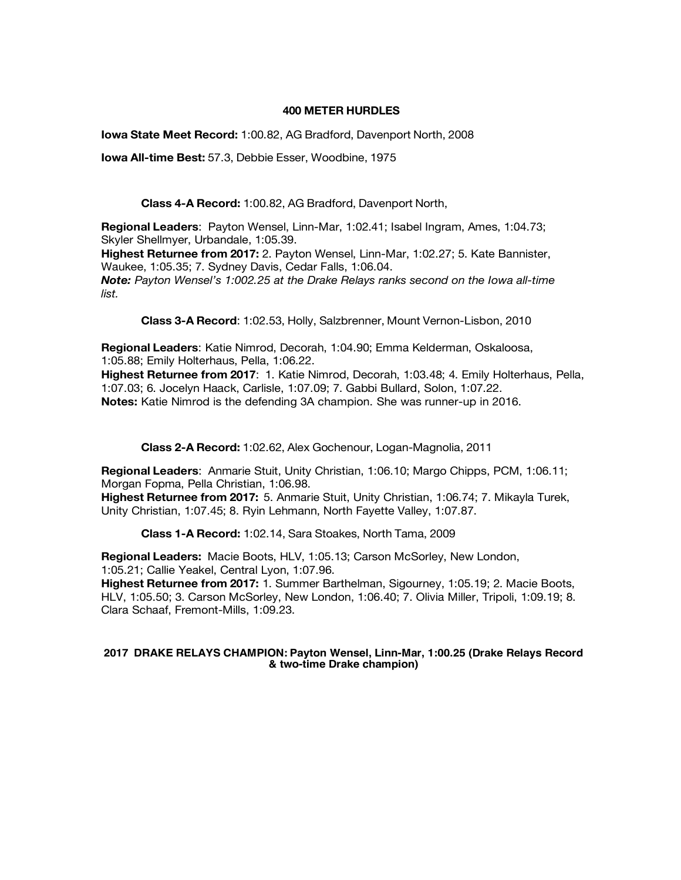## **400 METER HURDLES**

**Iowa State Meet Record:** 1:00.82, AG Bradford, Davenport North, 2008

**Iowa All-time Best:** 57.3, Debbie Esser, Woodbine, 1975

**Class 4-A Record:** 1:00.82, AG Bradford, Davenport North,

**Regional Leaders**: Payton Wensel, Linn-Mar, 1:02.41; Isabel Ingram, Ames, 1:04.73; Skyler Shellmyer, Urbandale, 1:05.39.

**Highest Returnee from 2017:** 2. Payton Wensel, Linn-Mar, 1:02.27; 5. Kate Bannister, Waukee, 1:05.35; 7. Sydney Davis, Cedar Falls, 1:06.04.

*Note: Payton Wensel's 1:002.25 at the Drake Relays ranks second on the Iowa all-time list.* 

**Class 3-A Record**: 1:02.53, Holly, Salzbrenner, Mount Vernon-Lisbon, 2010

**Regional Leaders**: Katie Nimrod, Decorah, 1:04.90; Emma Kelderman, Oskaloosa, 1:05.88; Emily Holterhaus, Pella, 1:06.22.

**Highest Returnee from 2017**: 1. Katie Nimrod, Decorah, 1:03.48; 4. Emily Holterhaus, Pella, 1:07.03; 6. Jocelyn Haack, Carlisle, 1:07.09; 7. Gabbi Bullard, Solon, 1:07.22. **Notes:** Katie Nimrod is the defending 3A champion. She was runner-up in 2016.

**Class 2-A Record:** 1:02.62, Alex Gochenour, Logan-Magnolia, 2011

**Regional Leaders**: Anmarie Stuit, Unity Christian, 1:06.10; Margo Chipps, PCM, 1:06.11; Morgan Fopma, Pella Christian, 1:06.98.

**Highest Returnee from 2017:** 5. Anmarie Stuit, Unity Christian, 1:06.74; 7. Mikayla Turek, Unity Christian, 1:07.45; 8. Ryin Lehmann, North Fayette Valley, 1:07.87.

**Class 1-A Record:** 1:02.14, Sara Stoakes, North Tama, 2009

**Regional Leaders:** Macie Boots, HLV, 1:05.13; Carson McSorley, New London, 1:05.21; Callie Yeakel, Central Lyon, 1:07.96.

**Highest Returnee from 2017:** 1. Summer Barthelman, Sigourney, 1:05.19; 2. Macie Boots, HLV, 1:05.50; 3. Carson McSorley, New London, 1:06.40; 7. Olivia Miller, Tripoli, 1:09.19; 8. Clara Schaaf, Fremont-Mills, 1:09.23.

#### **2017 DRAKE RELAYS CHAMPION: Payton Wensel, Linn-Mar, 1:00.25 (Drake Relays Record & two-time Drake champion)**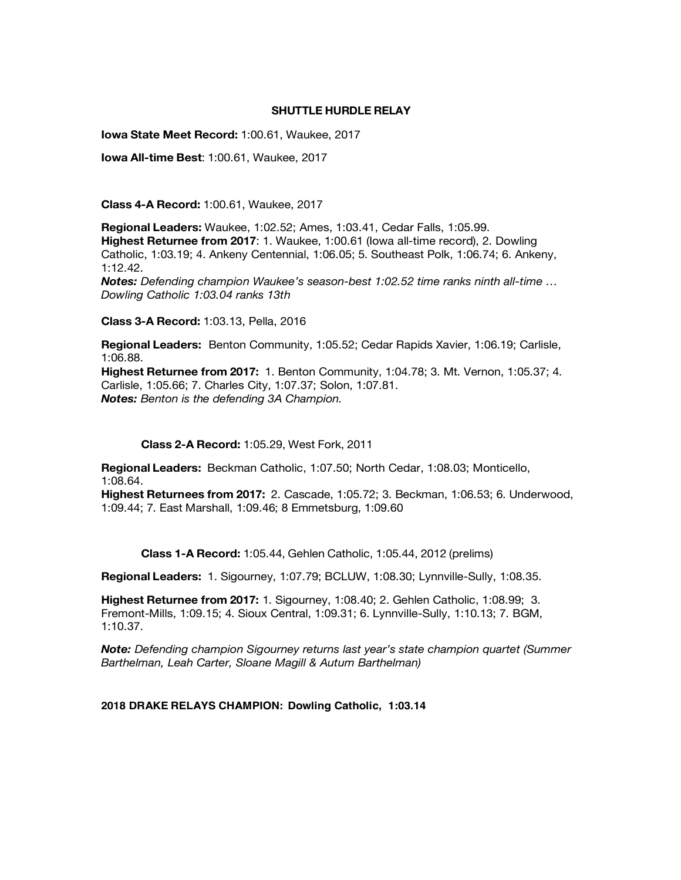## **SHUTTLE HURDLE RELAY**

**Iowa State Meet Record:** 1:00.61, Waukee, 2017

**Iowa All-time Best**: 1:00.61, Waukee, 2017

**Class 4-A Record:** 1:00.61, Waukee, 2017

**Regional Leaders:** Waukee, 1:02.52; Ames, 1:03.41, Cedar Falls, 1:05.99. **Highest Returnee from 2017**: 1. Waukee, 1:00.61 (Iowa all-time record), 2. Dowling Catholic, 1:03.19; 4. Ankeny Centennial, 1:06.05; 5. Southeast Polk, 1:06.74; 6. Ankeny, 1:12.42. *Notes: Defending champion Waukee's season-best 1:02.52 time ranks ninth all-time … Dowling Catholic 1:03.04 ranks 13th*

**Class 3-A Record:** 1:03.13, Pella, 2016

**Regional Leaders:** Benton Community, 1:05.52; Cedar Rapids Xavier, 1:06.19; Carlisle, 1:06.88.

**Highest Returnee from 2017:** 1. Benton Community, 1:04.78; 3. Mt. Vernon, 1:05.37; 4. Carlisle, 1:05.66; 7. Charles City, 1:07.37; Solon, 1:07.81. *Notes: Benton is the defending 3A Champion.* 

## **Class 2-A Record:** 1:05.29, West Fork, 2011

**Regional Leaders:** Beckman Catholic, 1:07.50; North Cedar, 1:08.03; Monticello, 1:08.64.

**Highest Returnees from 2017:** 2. Cascade, 1:05.72; 3. Beckman, 1:06.53; 6. Underwood, 1:09.44; 7. East Marshall, 1:09.46; 8 Emmetsburg, 1:09.60

**Class 1-A Record:** 1:05.44, Gehlen Catholic, 1:05.44, 2012 (prelims)

**Regional Leaders:** 1. Sigourney, 1:07.79; BCLUW, 1:08.30; Lynnville-Sully, 1:08.35.

**Highest Returnee from 2017:** 1. Sigourney, 1:08.40; 2. Gehlen Catholic, 1:08.99; 3. Fremont-Mills, 1:09.15; 4. Sioux Central, 1:09.31; 6. Lynnville-Sully, 1:10.13; 7. BGM, 1:10.37.

*Note: Defending champion Sigourney returns last year's state champion quartet (Summer Barthelman, Leah Carter, Sloane Magill & Autum Barthelman)*

**2018 DRAKE RELAYS CHAMPION: Dowling Catholic, 1:03.14**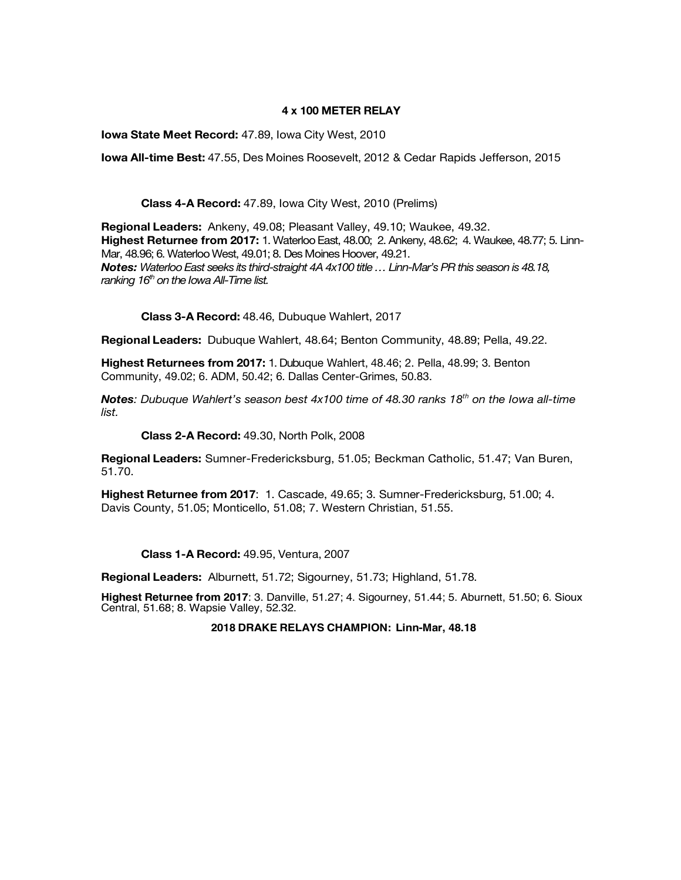## **4 x 100 METER RELAY**

**Iowa State Meet Record:** 47.89, Iowa City West, 2010

**Iowa All-time Best:** 47.55, Des Moines Roosevelt, 2012 & Cedar Rapids Jefferson, 2015

**Class 4-A Record:** 47.89, Iowa City West, 2010 (Prelims)

**Regional Leaders:** Ankeny, 49.08; Pleasant Valley, 49.10; Waukee, 49.32. **Highest Returnee from 2017:** 1. Waterloo East, 48.00; 2. Ankeny, 48.62; 4. Waukee, 48.77; 5. Linn-Mar, 48.96; 6. Waterloo West, 49.01; 8. Des Moines Hoover, 49.21. *Notes: Waterloo East seeks its third-straight 4A 4x100 title … Linn-Mar's PR this season is 48.18, ranking 16th on the Iowa All-Time list.* 

**Class 3-A Record:** 48.46, Dubuque Wahlert, 2017

**Regional Leaders:** Dubuque Wahlert, 48.64; Benton Community, 48.89; Pella, 49.22.

**Highest Returnees from 2017:** 1. Dubuque Wahlert, 48.46; 2. Pella, 48.99; 3. Benton Community, 49.02; 6. ADM, 50.42; 6. Dallas Center-Grimes, 50.83.

*Notes: Dubuque Wahlert's season best 4x100 time of 48.30 ranks 18th on the Iowa all-time list.* 

**Class 2-A Record:** 49.30, North Polk, 2008

**Regional Leaders:** Sumner-Fredericksburg, 51.05; Beckman Catholic, 51.47; Van Buren, 51.70.

**Highest Returnee from 2017**: 1. Cascade, 49.65; 3. Sumner-Fredericksburg, 51.00; 4. Davis County, 51.05; Monticello, 51.08; 7. Western Christian, 51.55.

**Class 1-A Record:** 49.95, Ventura, 2007

**Regional Leaders:** Alburnett, 51.72; Sigourney, 51.73; Highland, 51.78.

**Highest Returnee from 2017**: 3. Danville, 51.27; 4. Sigourney, 51.44; 5. Aburnett, 51.50; 6. Sioux Central, 51.68; 8. Wapsie Valley, 52.32.

**2018 DRAKE RELAYS CHAMPION: Linn-Mar, 48.18**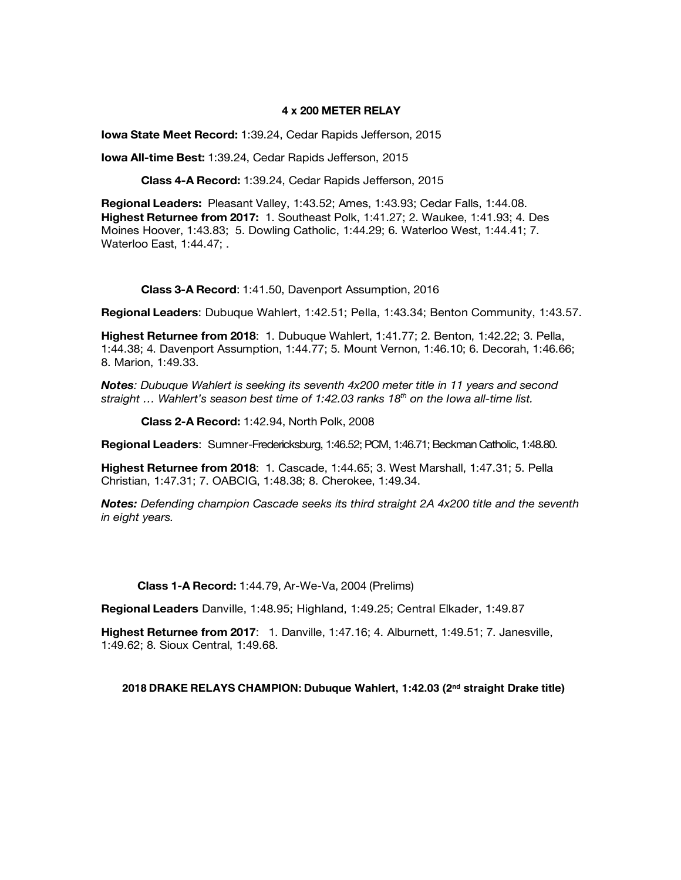#### **4 x 200 METER RELAY**

**Iowa State Meet Record:** 1:39.24, Cedar Rapids Jefferson, 2015

**Iowa All-time Best:** 1:39.24, Cedar Rapids Jefferson, 2015

**Class 4-A Record:** 1:39.24, Cedar Rapids Jefferson, 2015

**Regional Leaders:** Pleasant Valley, 1:43.52; Ames, 1:43.93; Cedar Falls, 1:44.08. **Highest Returnee from 2017:** 1. Southeast Polk, 1:41.27; 2. Waukee, 1:41.93; 4. Des Moines Hoover, 1:43.83; 5. Dowling Catholic, 1:44.29; 6. Waterloo West, 1:44.41; 7. Waterloo East, 1:44.47; .

**Class 3-A Record**: 1:41.50, Davenport Assumption, 2016

**Regional Leaders**: Dubuque Wahlert, 1:42.51; Pella, 1:43.34; Benton Community, 1:43.57.

**Highest Returnee from 2018**: 1. Dubuque Wahlert, 1:41.77; 2. Benton, 1:42.22; 3. Pella, 1:44.38; 4. Davenport Assumption, 1:44.77; 5. Mount Vernon, 1:46.10; 6. Decorah, 1:46.66; 8. Marion, 1:49.33.

*Notes: Dubuque Wahlert is seeking its seventh 4x200 meter title in 11 years and second straight … Wahlert's season best time of 1:42.03 ranks 18th on the Iowa all-time list.* 

**Class 2-A Record:** 1:42.94, North Polk, 2008

**Regional Leaders**: Sumner-Fredericksburg, 1:46.52; PCM, 1:46.71; Beckman Catholic, 1:48.80.

**Highest Returnee from 2018**: 1. Cascade, 1:44.65; 3. West Marshall, 1:47.31; 5. Pella Christian, 1:47.31; 7. OABCIG, 1:48.38; 8. Cherokee, 1:49.34.

*Notes: Defending champion Cascade seeks its third straight 2A 4x200 title and the seventh in eight years.* 

**Class 1-A Record:** 1:44.79, Ar-We-Va, 2004 (Prelims)

**Regional Leaders** Danville, 1:48.95; Highland, 1:49.25; Central Elkader, 1:49.87

**Highest Returnee from 2017**: 1. Danville, 1:47.16; 4. Alburnett, 1:49.51; 7. Janesville, 1:49.62; 8. Sioux Central, 1:49.68.

**2018 DRAKE RELAYS CHAMPION: Dubuque Wahlert, 1:42.03 (2nd straight Drake title)**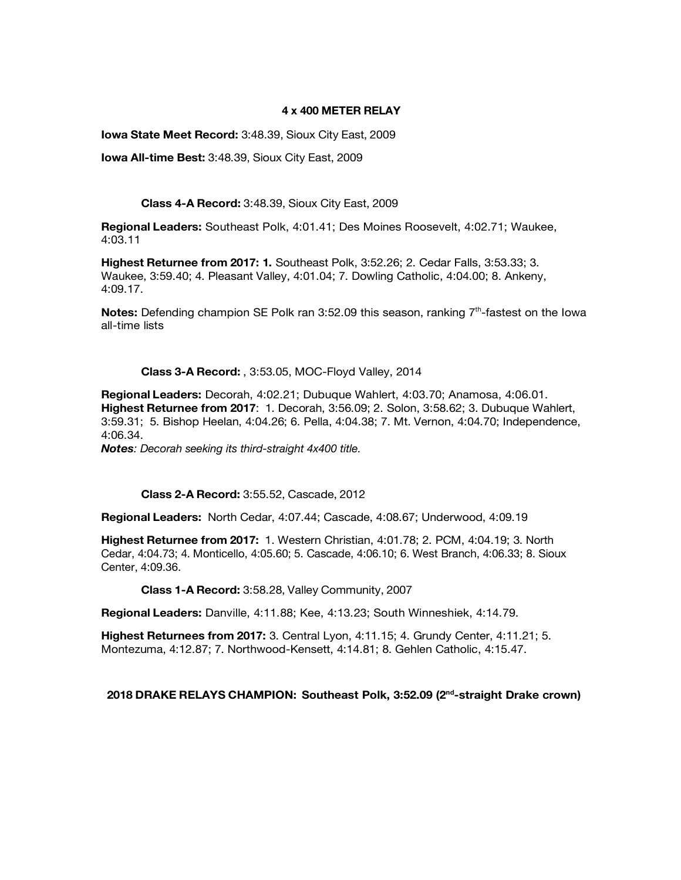## **4 x 400 METER RELAY**

**Iowa State Meet Record:** 3:48.39, Sioux City East, 2009

**Iowa All-time Best:** 3:48.39, Sioux City East, 2009

## **Class 4-A Record:** 3:48.39, Sioux City East, 2009

**Regional Leaders:** Southeast Polk, 4:01.41; Des Moines Roosevelt, 4:02.71; Waukee, 4:03.11

**Highest Returnee from 2017: 1.** Southeast Polk, 3:52.26; 2. Cedar Falls, 3:53.33; 3. Waukee, 3:59.40; 4. Pleasant Valley, 4:01.04; 7. Dowling Catholic, 4:04.00; 8. Ankeny, 4:09.17.

**Notes:** Defending champion SE Polk ran 3:52.09 this season, ranking 7<sup>th</sup>-fastest on the Iowa all-time lists

## **Class 3-A Record:** , 3:53.05, MOC-Floyd Valley, 2014

**Regional Leaders:** Decorah, 4:02.21; Dubuque Wahlert, 4:03.70; Anamosa, 4:06.01. **Highest Returnee from 2017**: 1. Decorah, 3:56.09; 2. Solon, 3:58.62; 3. Dubuque Wahlert, 3:59.31; 5. Bishop Heelan, 4:04.26; 6. Pella, 4:04.38; 7. Mt. Vernon, 4:04.70; Independence, 4:06.34.

*Notes: Decorah seeking its third-straight 4x400 title.*

**Class 2-A Record:** 3:55.52, Cascade, 2012

**Regional Leaders:** North Cedar, 4:07.44; Cascade, 4:08.67; Underwood, 4:09.19

**Highest Returnee from 2017:** 1. Western Christian, 4:01.78; 2. PCM, 4:04.19; 3. North Cedar, 4:04.73; 4. Monticello, 4:05.60; 5. Cascade, 4:06.10; 6. West Branch, 4:06.33; 8. Sioux Center, 4:09.36.

**Class 1-A Record:** 3:58.28, Valley Community, 2007

**Regional Leaders:** Danville, 4:11.88; Kee, 4:13.23; South Winneshiek, 4:14.79.

**Highest Returnees from 2017:** 3. Central Lyon, 4:11.15; 4. Grundy Center, 4:11.21; 5. Montezuma, 4:12.87; 7. Northwood-Kensett, 4:14.81; 8. Gehlen Catholic, 4:15.47.

# **2018 DRAKE RELAYS CHAMPION: Southeast Polk, 3:52.09 (2nd-straight Drake crown)**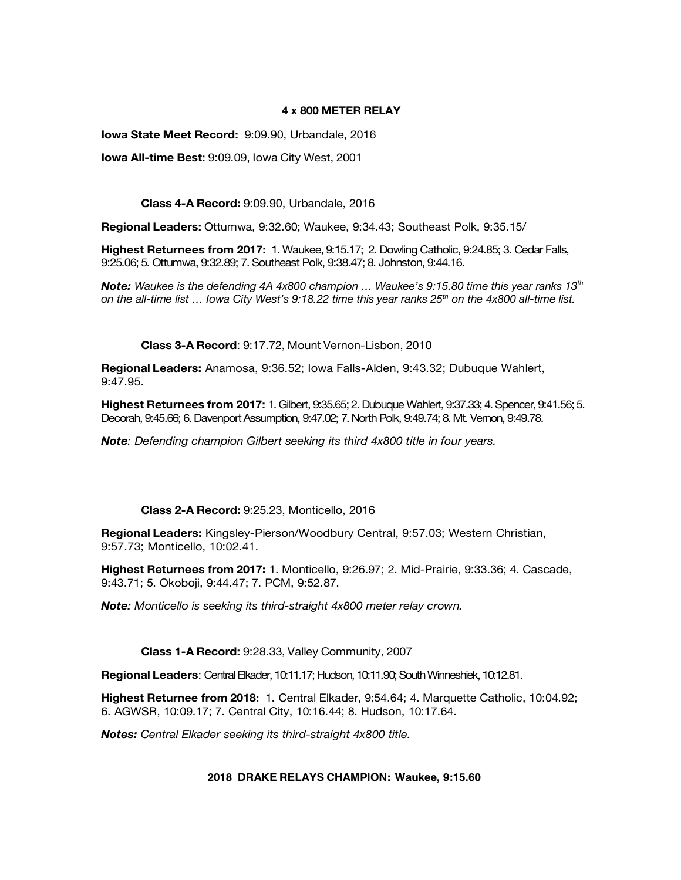## **4 x 800 METER RELAY**

**Iowa State Meet Record:** 9:09.90, Urbandale, 2016

**Iowa All-time Best:** 9:09.09, Iowa City West, 2001

**Class 4-A Record:** 9:09.90, Urbandale, 2016

**Regional Leaders:** Ottumwa, 9:32.60; Waukee, 9:34.43; Southeast Polk, 9:35.15/

**Highest Returnees from 2017:** 1. Waukee, 9:15.17; 2. Dowling Catholic, 9:24.85; 3. Cedar Falls, 9:25.06; 5. Ottumwa, 9:32.89; 7. Southeast Polk, 9:38.47; 8. Johnston, 9:44.16.

*Note: Waukee is the defending 4A 4x800 champion … Waukee's 9:15.80 time this year ranks 13th on the all-time list … Iowa City West's 9:18.22 time this year ranks 25th on the 4x800 all-time list.*

**Class 3-A Record**: 9:17.72, Mount Vernon-Lisbon, 2010

**Regional Leaders:** Anamosa, 9:36.52; Iowa Falls-Alden, 9:43.32; Dubuque Wahlert, 9:47.95.

**Highest Returnees from 2017:** 1. Gilbert, 9:35.65; 2. Dubuque Wahlert, 9:37.33; 4. Spencer, 9:41.56; 5. Decorah, 9:45.66; 6. Davenport Assumption, 9:47.02; 7. North Polk, 9:49.74; 8. Mt. Vernon, 9:49.78.

*Note: Defending champion Gilbert seeking its third 4x800 title in four years.* 

# **Class 2-A Record:** 9:25.23, Monticello, 2016

**Regional Leaders:** Kingsley-Pierson/Woodbury Central, 9:57.03; Western Christian, 9:57.73; Monticello, 10:02.41.

**Highest Returnees from 2017:** 1. Monticello, 9:26.97; 2. Mid-Prairie, 9:33.36; 4. Cascade, 9:43.71; 5. Okoboji, 9:44.47; 7. PCM, 9:52.87.

*Note: Monticello is seeking its third-straight 4x800 meter relay crown.* 

**Class 1-A Record:** 9:28.33, Valley Community, 2007

**Regional Leaders**: Central Elkader, 10:11.17; Hudson, 10:11.90; South Winneshiek, 10:12.81.

**Highest Returnee from 2018:** 1. Central Elkader, 9:54.64; 4. Marquette Catholic, 10:04.92; 6. AGWSR, 10:09.17; 7. Central City, 10:16.44; 8. Hudson, 10:17.64.

*Notes: Central Elkader seeking its third-straight 4x800 title.*

## **2018 DRAKE RELAYS CHAMPION: Waukee, 9:15.60**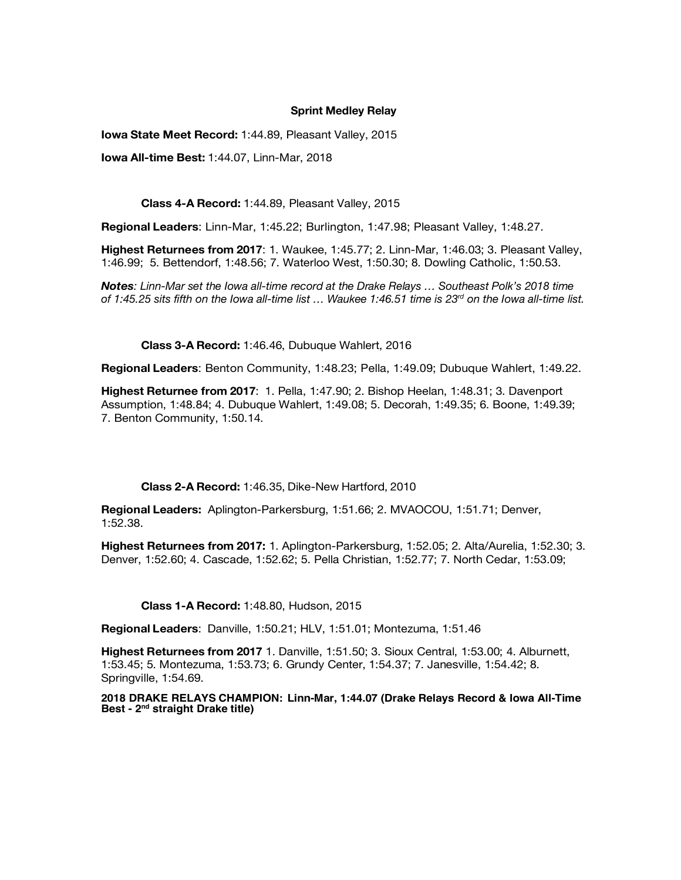## **Sprint Medley Relay**

**Iowa State Meet Record:** 1:44.89, Pleasant Valley, 2015

**Iowa All-time Best:** 1:44.07, Linn-Mar, 2018

**Class 4-A Record:** 1:44.89, Pleasant Valley, 2015

**Regional Leaders**: Linn-Mar, 1:45.22; Burlington, 1:47.98; Pleasant Valley, 1:48.27.

**Highest Returnees from 2017**: 1. Waukee, 1:45.77; 2. Linn-Mar, 1:46.03; 3. Pleasant Valley, 1:46.99; 5. Bettendorf, 1:48.56; 7. Waterloo West, 1:50.30; 8. Dowling Catholic, 1:50.53.

*Notes: Linn-Mar set the Iowa all-time record at the Drake Relays … Southeast Polk's 2018 time of 1:45.25 sits fifth on the Iowa all-time list … Waukee 1:46.51 time is 23rd on the Iowa all-time list.* 

**Class 3-A Record:** 1:46.46, Dubuque Wahlert, 2016

**Regional Leaders**: Benton Community, 1:48.23; Pella, 1:49.09; Dubuque Wahlert, 1:49.22.

**Highest Returnee from 2017**: 1. Pella, 1:47.90; 2. Bishop Heelan, 1:48.31; 3. Davenport Assumption, 1:48.84; 4. Dubuque Wahlert, 1:49.08; 5. Decorah, 1:49.35; 6. Boone, 1:49.39; 7. Benton Community, 1:50.14.

**Class 2-A Record:** 1:46.35, Dike-New Hartford, 2010

**Regional Leaders:** Aplington-Parkersburg, 1:51.66; 2. MVAOCOU, 1:51.71; Denver, 1:52.38.

**Highest Returnees from 2017:** 1. Aplington-Parkersburg, 1:52.05; 2. Alta/Aurelia, 1:52.30; 3. Denver, 1:52.60; 4. Cascade, 1:52.62; 5. Pella Christian, 1:52.77; 7. North Cedar, 1:53.09;

**Class 1-A Record:** 1:48.80, Hudson, 2015

**Regional Leaders**: Danville, 1:50.21; HLV, 1:51.01; Montezuma, 1:51.46

**Highest Returnees from 2017** 1. Danville, 1:51.50; 3. Sioux Central, 1:53.00; 4. Alburnett, 1:53.45; 5. Montezuma, 1:53.73; 6. Grundy Center, 1:54.37; 7. Janesville, 1:54.42; 8. Springville, 1:54.69.

**2018 DRAKE RELAYS CHAMPION: Linn-Mar, 1:44.07 (Drake Relays Record & Iowa All-Time Best - 2nd straight Drake title)**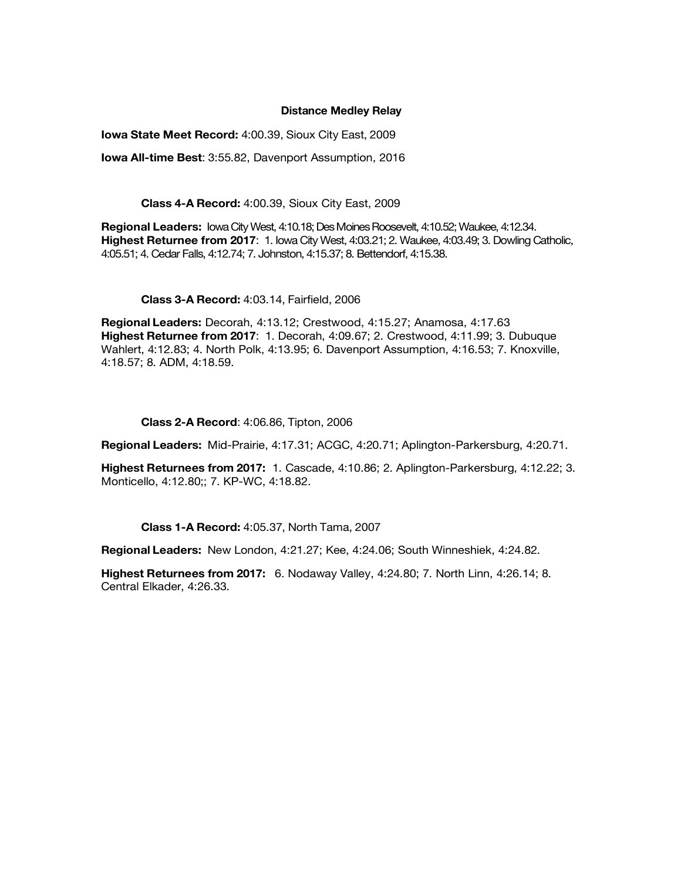#### **Distance Medley Relay**

**Iowa State Meet Record:** 4:00.39, Sioux City East, 2009

**Iowa All-time Best**: 3:55.82, Davenport Assumption, 2016

**Class 4-A Record:** 4:00.39, Sioux City East, 2009

**Regional Leaders:** Iowa City West, 4:10.18; Des Moines Roosevelt, 4:10.52; Waukee, 4:12.34. **Highest Returnee from 2017**: 1. Iowa City West, 4:03.21; 2. Waukee, 4:03.49; 3. Dowling Catholic, 4:05.51; 4. Cedar Falls, 4:12.74; 7. Johnston, 4:15.37; 8. Bettendorf, 4:15.38.

**Class 3-A Record:** 4:03.14, Fairfield, 2006

**Regional Leaders:** Decorah, 4:13.12; Crestwood, 4:15.27; Anamosa, 4:17.63 **Highest Returnee from 2017**: 1. Decorah, 4:09.67; 2. Crestwood, 4:11.99; 3. Dubuque Wahlert, 4:12.83; 4. North Polk, 4:13.95; 6. Davenport Assumption, 4:16.53; 7. Knoxville, 4:18.57; 8. ADM, 4:18.59.

**Class 2-A Record**: 4:06.86, Tipton, 2006

**Regional Leaders:** Mid-Prairie, 4:17.31; ACGC, 4:20.71; Aplington-Parkersburg, 4:20.71.

**Highest Returnees from 2017:** 1. Cascade, 4:10.86; 2. Aplington-Parkersburg, 4:12.22; 3. Monticello, 4:12.80;; 7. KP-WC, 4:18.82.

**Class 1-A Record:** 4:05.37, North Tama, 2007

**Regional Leaders:** New London, 4:21.27; Kee, 4:24.06; South Winneshiek, 4:24.82.

**Highest Returnees from 2017:** 6. Nodaway Valley, 4:24.80; 7. North Linn, 4:26.14; 8. Central Elkader, 4:26.33.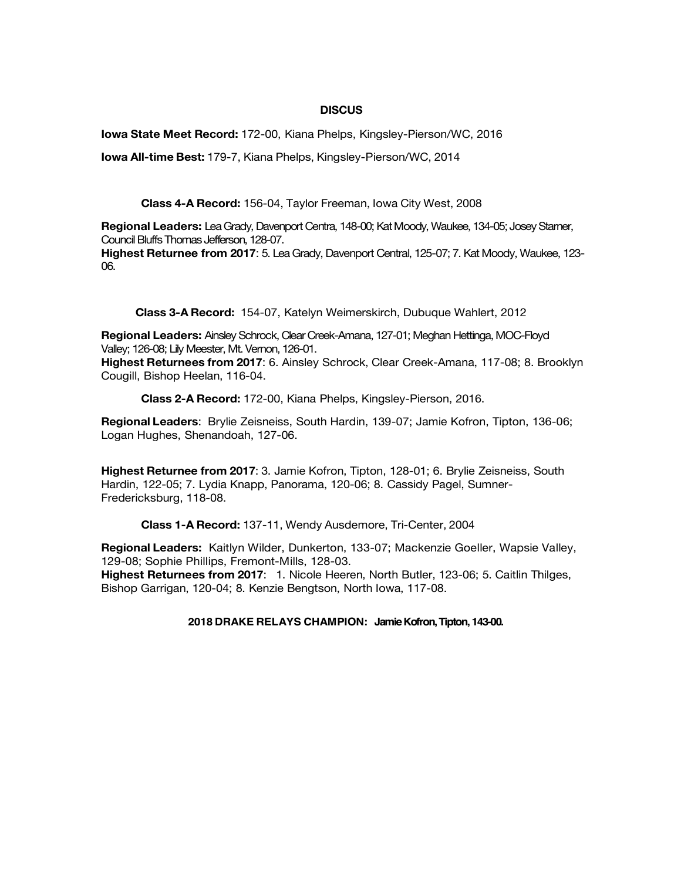## **DISCUS**

**Iowa State Meet Record:** 172-00, Kiana Phelps, Kingsley-Pierson/WC, 2016

**Iowa All-time Best:** 179-7, Kiana Phelps, Kingsley-Pierson/WC, 2014

**Class 4-A Record:** 156-04, Taylor Freeman, Iowa City West, 2008

**Regional Leaders:** Lea Grady, Davenport Centra, 148-00; Kat Moody, Waukee, 134-05; Josey Starner, Council Bluffs Thomas Jefferson, 128-07.

**Highest Returnee from 2017**: 5. Lea Grady, Davenport Central, 125-07; 7. Kat Moody, Waukee, 123- 06.

**Class 3-A Record:** 154-07, Katelyn Weimerskirch, Dubuque Wahlert, 2012

**Regional Leaders:** Ainsley Schrock, Clear Creek-Amana, 127-01; Meghan Hettinga, MOC-Floyd Valley; 126-08; Lily Meester, Mt. Vernon, 126-01.

**Highest Returnees from 2017**: 6. Ainsley Schrock, Clear Creek-Amana, 117-08; 8. Brooklyn Cougill, Bishop Heelan, 116-04.

**Class 2-A Record:** 172-00, Kiana Phelps, Kingsley-Pierson, 2016.

**Regional Leaders**: Brylie Zeisneiss, South Hardin, 139-07; Jamie Kofron, Tipton, 136-06; Logan Hughes, Shenandoah, 127-06.

**Highest Returnee from 2017**: 3. Jamie Kofron, Tipton, 128-01; 6. Brylie Zeisneiss, South Hardin, 122-05; 7. Lydia Knapp, Panorama, 120-06; 8. Cassidy Pagel, Sumner-Fredericksburg, 118-08.

**Class 1-A Record:** 137-11, Wendy Ausdemore, Tri-Center, 2004

**Regional Leaders:** Kaitlyn Wilder, Dunkerton, 133-07; Mackenzie Goeller, Wapsie Valley, 129-08; Sophie Phillips, Fremont-Mills, 128-03.

**Highest Returnees from 2017**: 1. Nicole Heeren, North Butler, 123-06; 5. Caitlin Thilges, Bishop Garrigan, 120-04; 8. Kenzie Bengtson, North Iowa, 117-08.

**2018 DRAKE RELAYS CHAMPION: Jamie Kofron, Tipton, 143-00.**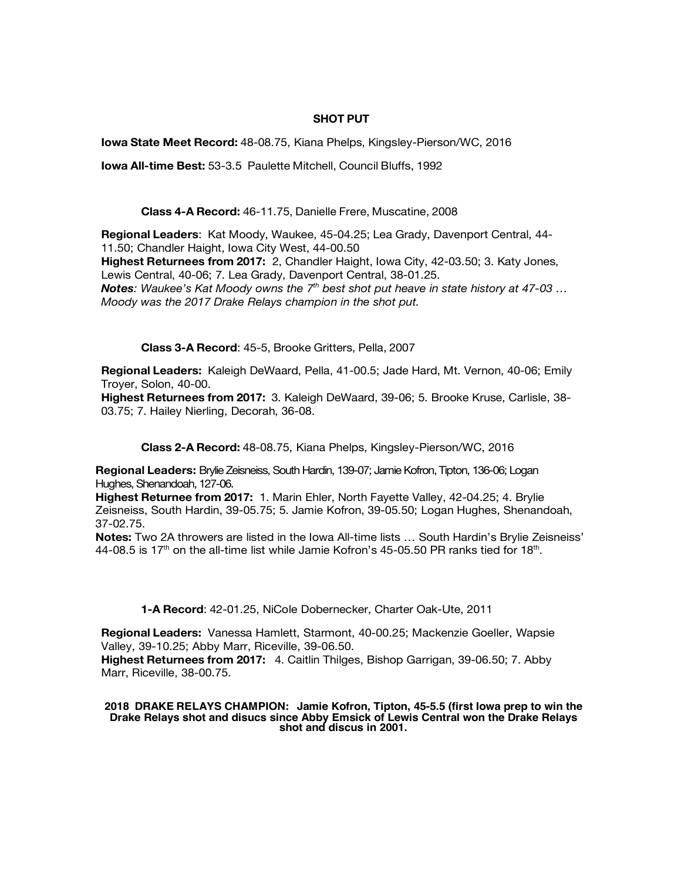## **SHOT PUT**

**Iowa State Meet Record:** 48-08.75, Kiana Phelps, Kingsley-Pierson/WC, 2016

**Iowa All-time Best:** 53-3.5 Paulette Mitchell, Council Bluffs, 1992

**Class 4-A Record:** 46-11.75, Danielle Frere, Muscatine, 2008

**Regional Leaders**: Kat Moody, Waukee, 45-04.25; Lea Grady, Davenport Central, 44- 11.50; Chandler Haight, Iowa City West, 44-00.50

**Highest Returnees from 2017:** 2, Chandler Haight, Iowa City, 42-03.50; 3. Katy Jones, Lewis Central, 40-06; 7. Lea Grady, Davenport Central, 38-01.25.

*Notes: Waukee's Kat Moody owns the 7th best shot put heave in state history at 47-03 … Moody was the 2017 Drake Relays champion in the shot put.* 

**Class 3-A Record**: 45-5, Brooke Gritters, Pella, 2007

**Regional Leaders:** Kaleigh DeWaard, Pella, 41-00.5; Jade Hard, Mt. Vernon, 40-06; Emily Troyer, Solon, 40-00.

**Highest Returnees from 2017:** 3. Kaleigh DeWaard, 39-06; 5. Brooke Kruse, Carlisle, 38- 03.75; 7. Hailey Nierling, Decorah, 36-08.

**Class 2-A Record:** 48-08.75, Kiana Phelps, Kingsley-Pierson/WC, 2016

**Regional Leaders:** Brylie Zeisneiss, South Hardin, 139-07; Jamie Kofron, Tipton, 136-06; Logan Hughes, Shenandoah, 127-06.

**Highest Returnee from 2017:** 1. Marin Ehler, North Fayette Valley, 42-04.25; 4. Brylie Zeisneiss, South Hardin, 39-05.75; 5. Jamie Kofron, 39-05.50; Logan Hughes, Shenandoah, 37-02.75.

**Notes:** Two 2A throwers are listed in the Iowa All-time lists … South Hardin's Brylie Zeisneiss' 44-08.5 is 17<sup>th</sup> on the all-time list while Jamie Kofron's 45-05.50 PR ranks tied for 18<sup>th</sup>.

**1-A Record**: 42-01.25, NiCole Dobernecker, Charter Oak-Ute, 2011

**Regional Leaders:** Vanessa Hamlett, Starmont, 40-00.25; Mackenzie Goeller, Wapsie Valley, 39-10.25; Abby Marr, Riceville, 39-06.50.

**Highest Returnees from 2017:** 4. Caitlin Thilges, Bishop Garrigan, 39-06.50; 7. Abby Marr, Riceville, 38-00.75.

#### **2018 DRAKE RELAYS CHAMPION: Jamie Kofron, Tipton, 45-5.5 (first Iowa prep to win the Drake Relays shot and disucs since Abby Emsick of Lewis Central won the Drake Relays shot and discus in 2001.**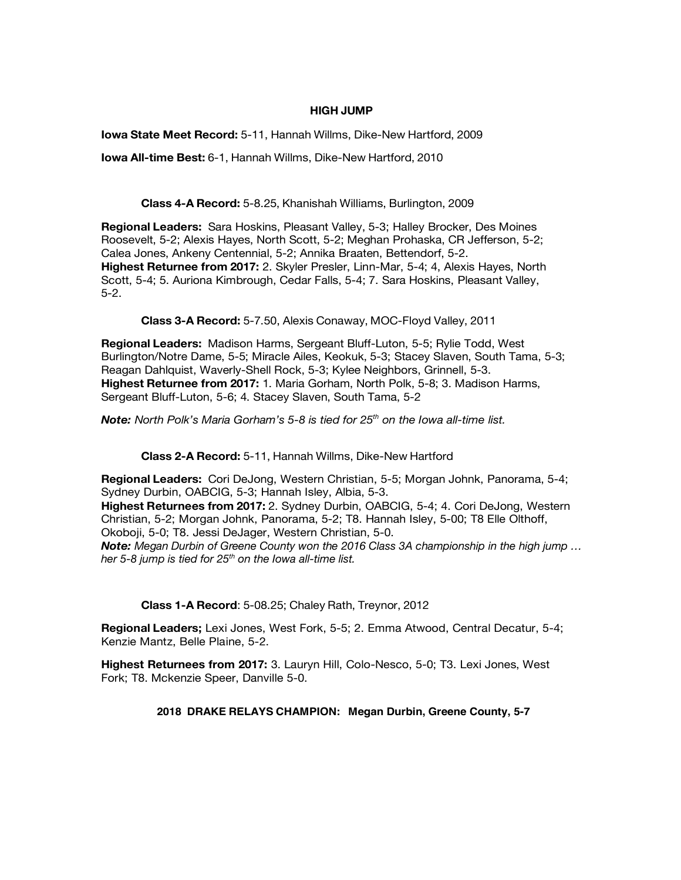## **HIGH JUMP**

**Iowa State Meet Record:** 5-11, Hannah Willms, Dike-New Hartford, 2009

**Iowa All-time Best:** 6-1, Hannah Willms, Dike-New Hartford, 2010

**Class 4-A Record:** 5-8.25, Khanishah Williams, Burlington, 2009

**Regional Leaders:** Sara Hoskins, Pleasant Valley, 5-3; Halley Brocker, Des Moines Roosevelt, 5-2; Alexis Hayes, North Scott, 5-2; Meghan Prohaska, CR Jefferson, 5-2; Calea Jones, Ankeny Centennial, 5-2; Annika Braaten, Bettendorf, 5-2. **Highest Returnee from 2017:** 2. Skyler Presler, Linn-Mar, 5-4; 4, Alexis Hayes, North Scott, 5-4; 5. Auriona Kimbrough, Cedar Falls, 5-4; 7. Sara Hoskins, Pleasant Valley, 5-2.

**Class 3-A Record:** 5-7.50, Alexis Conaway, MOC-Floyd Valley, 2011

**Regional Leaders:** Madison Harms, Sergeant Bluff-Luton, 5-5; Rylie Todd, West Burlington/Notre Dame, 5-5; Miracle Ailes, Keokuk, 5-3; Stacey Slaven, South Tama, 5-3; Reagan Dahlquist, Waverly-Shell Rock, 5-3; Kylee Neighbors, Grinnell, 5-3. **Highest Returnee from 2017:** 1. Maria Gorham, North Polk, 5-8; 3. Madison Harms, Sergeant Bluff-Luton, 5-6; 4. Stacey Slaven, South Tama, 5-2

**Note:** North Polk's Maria Gorham's 5-8 is tied for 25<sup>th</sup> on the lowa all-time list.

**Class 2-A Record:** 5-11, Hannah Willms, Dike-New Hartford

**Regional Leaders:** Cori DeJong, Western Christian, 5-5; Morgan Johnk, Panorama, 5-4; Sydney Durbin, OABCIG, 5-3; Hannah Isley, Albia, 5-3. **Highest Returnees from 2017:** 2. Sydney Durbin, OABCIG, 5-4; 4. Cori DeJong, Western Christian, 5-2; Morgan Johnk, Panorama, 5-2; T8. Hannah Isley, 5-00; T8 Elle Olthoff, Okoboji, 5-0; T8. Jessi DeJager, Western Christian, 5-0. *Note: Megan Durbin of Greene County won the 2016 Class 3A championship in the high jump … her 5-8 jump is tied for 25th on the Iowa all-time list.* 

**Class 1-A Record**: 5-08.25; Chaley Rath, Treynor, 2012

**Regional Leaders;** Lexi Jones, West Fork, 5-5; 2. Emma Atwood, Central Decatur, 5-4; Kenzie Mantz, Belle Plaine, 5-2.

**Highest Returnees from 2017:** 3. Lauryn Hill, Colo-Nesco, 5-0; T3. Lexi Jones, West Fork; T8. Mckenzie Speer, Danville 5-0.

# **2018 DRAKE RELAYS CHAMPION: Megan Durbin, Greene County, 5-7**